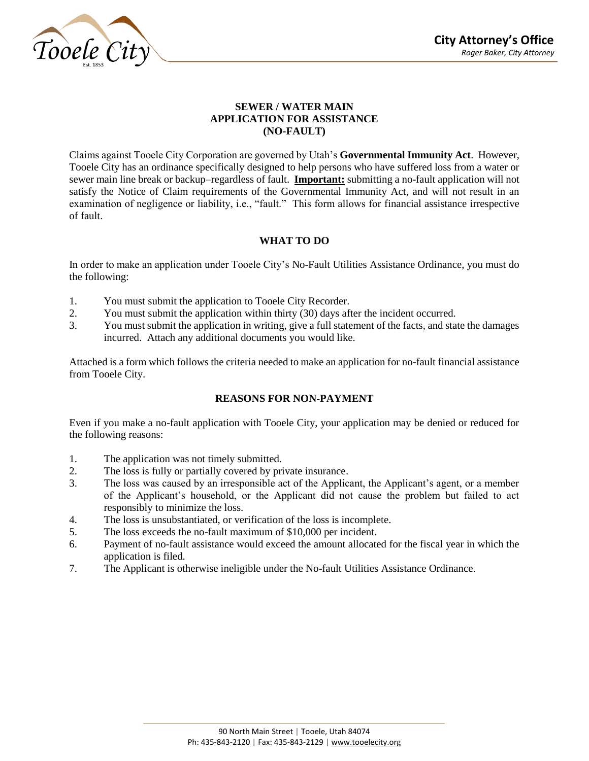

# **SEWER / WATER MAIN APPLICATION FOR ASSISTANCE (NO-FAULT)**

Claims against Tooele City Corporation are governed by Utah's **Governmental Immunity Act**. However, Tooele City has an ordinance specifically designed to help persons who have suffered loss from a water or sewer main line break or backup–regardless of fault. **Important:** submitting a no-fault application will not satisfy the Notice of Claim requirements of the Governmental Immunity Act, and will not result in an examination of negligence or liability, i.e., "fault." This form allows for financial assistance irrespective of fault.

# **WHAT TO DO**

In order to make an application under Tooele City's No-Fault Utilities Assistance Ordinance, you must do the following:

- 1. You must submit the application to Tooele City Recorder.
- 2. You must submit the application within thirty (30) days after the incident occurred.
- 3. You must submit the application in writing, give a full statement of the facts, and state the damages incurred. Attach any additional documents you would like.

Attached is a form which follows the criteria needed to make an application for no-fault financial assistance from Tooele City.

# **REASONS FOR NON-PAYMENT**

Even if you make a no-fault application with Tooele City, your application may be denied or reduced for the following reasons:

- 1. The application was not timely submitted.
- 2. The loss is fully or partially covered by private insurance.
- 3. The loss was caused by an irresponsible act of the Applicant, the Applicant's agent, or a member of the Applicant's household, or the Applicant did not cause the problem but failed to act responsibly to minimize the loss.
- 4. The loss is unsubstantiated, or verification of the loss is incomplete.
- 5. The loss exceeds the no-fault maximum of \$10,000 per incident.
- 6. Payment of no-fault assistance would exceed the amount allocated for the fiscal year in which the application is filed.
- 7. The Applicant is otherwise ineligible under the No-fault Utilities Assistance Ordinance.